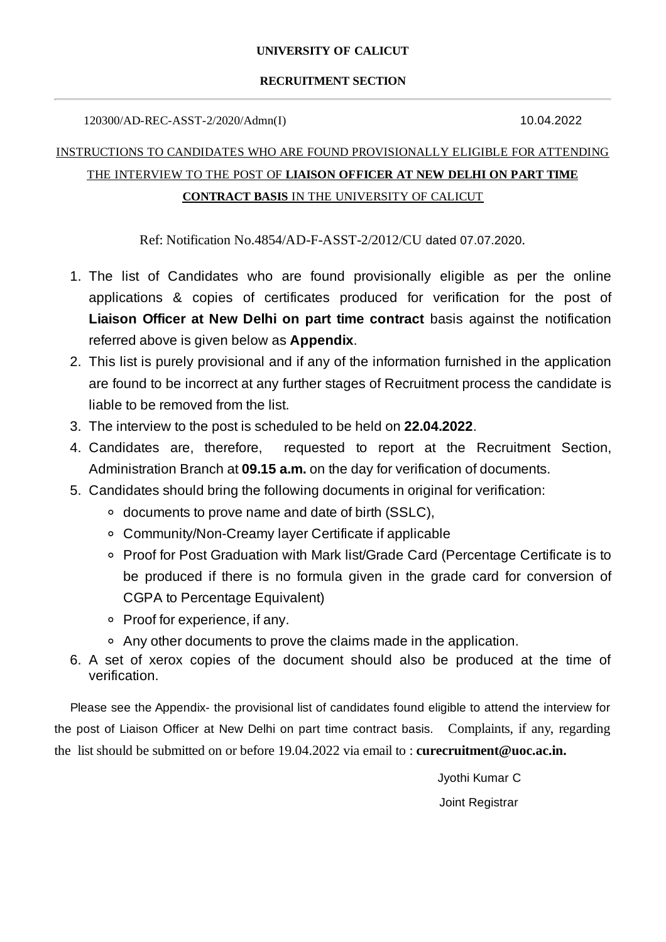### **UNIVERSITY OF CALICUT**

#### **RECRUITMENT SECTION**

120300/AD-REC-ASST-2/2020/Admn(I) 10.04.2022

# INSTRUCTIONS TO CANDIDATES WHO ARE FOUND PROVISIONALLY ELIGIBLE FOR ATTENDING THE INTERVIEW TO THE POST OF **LIAISON OFFICER AT NEW DELHI ON PART TIME CONTRACT BASIS** IN THE UNIVERSITY OF CALICUT

Ref: Notification No.4854/AD-F-ASST-2/2012/CU dated 07.07.2020.

- 1. The list of Candidates who are found provisionally eligible as per the online applications & copies of certificates produced for verification for the post of **Liaison Officer at New Delhi on part time contract** basis against the notification referred above is given below as **Appendix**.
- 2. This list is purely provisional and if any of the information furnished in the application are found to be incorrect at any further stages of Recruitment process the candidate is liable to be removed from the list.
- 3. The interview to the post is scheduled to be held on **22.04.2022**.
- 4. Candidates are, therefore, requested to report at the Recruitment Section, Administration Branch at **09.15 a.m.** on the day for verification of documents.
- 5. Candidates should bring the following documents in original for verification:
	- documents to prove name and date of birth (SSLC),
	- Community/Non-Creamy layer Certificate if applicable
	- Proof for Post Graduation with Mark list/Grade Card (Percentage Certificate is to be produced if there is no formula given in the grade card for conversion of CGPA to Percentage Equivalent)
	- Proof for experience, if any.
	- Any other documents to prove the claims made in the application.
- 6. A set of xerox copies of the document should also be produced at the time of verification.

Please see the Appendix- the provisional list of candidates found eligible to attend the interview for the post of Liaison Officer at New Delhi on part time contract basis. Complaints, if any, regarding the list should be submitted on or before 19.04.2022 via email to : **curecruitment@uoc.ac.in.**

> Jyothi Kumar C Joint Registrar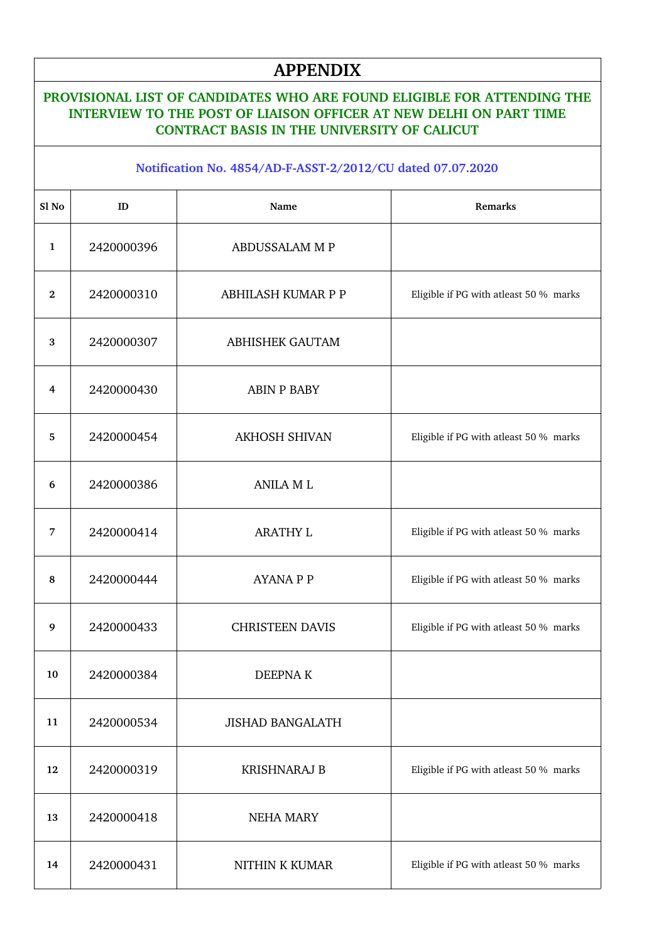# **APPENDIX**

### **PROVISIONAL LIST OF CANDIDATES WHO ARE FOUND ELIGIBLE FOR ATTENDING THE INTERVIEW TO THE POST OF LIAISON OFFICER AT NEW DELHI ON PART TIME CONTRACT BASIS IN THE UNIVERSITY OF CALICUT**

#### **Notification No. 4854/ADFASST2/2012/CU dated 07.07.2020**

| Sl No        | ID         | Name                    | Remarks                                |
|--------------|------------|-------------------------|----------------------------------------|
| $\mathbf{1}$ | 2420000396 | ABDUSSALAM M P          |                                        |
| $\mathbf{2}$ | 2420000310 | ABHILASH KUMAR P P      | Eligible if PG with atleast 50 % marks |
| 3            | 2420000307 | <b>ABHISHEK GAUTAM</b>  |                                        |
| 4            | 2420000430 | <b>ABIN P BABY</b>      |                                        |
| 5            | 2420000454 | <b>AKHOSH SHIVAN</b>    | Eligible if PG with atleast 50 % marks |
| 6            | 2420000386 | <b>ANILA ML</b>         |                                        |
| 7            | 2420000414 | <b>ARATHY L</b>         | Eligible if PG with atleast 50 % marks |
| 8            | 2420000444 | <b>AYANA P P</b>        | Eligible if PG with atleast 50 % marks |
| 9            | 2420000433 | <b>CHRISTEEN DAVIS</b>  | Eligible if PG with atleast 50 % marks |
| 10           | 2420000384 | <b>DEEPNAK</b>          |                                        |
| 11           | 2420000534 | <b>JISHAD BANGALATH</b> |                                        |
| 12           | 2420000319 | <b>KRISHNARAJ B</b>     | Eligible if PG with atleast 50 % marks |
| 13           | 2420000418 | <b>NEHA MARY</b>        |                                        |
| 14           | 2420000431 | NITHIN K KUMAR          | Eligible if PG with atleast 50 % marks |